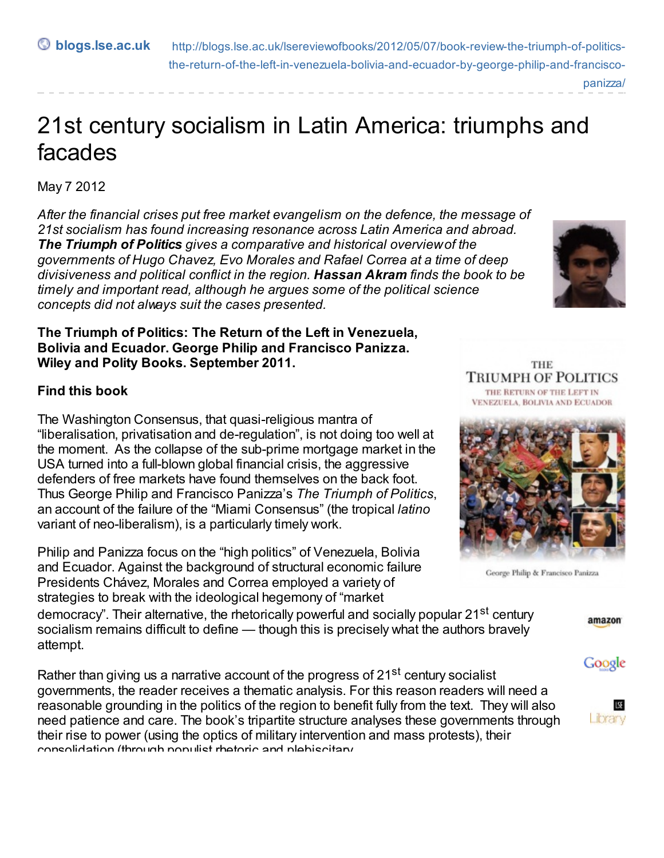**blogs.lse.ac.uk** http://blogs.lse.ac.uk/lsereviewofbooks/2012/05/07/book-review-the-triumph-of-politics[the-return-of-the-left-in-venezuela-bolivia-and-ecuador-by-george-philip-and-francisco](http://blogs.lse.ac.uk/lsereviewofbooks/2012/05/07/book-review-the-triumph-of-politics-the-return-of-the-left-in-venezuela-bolivia-and-ecuador-by-george-philip-and-francisco-panizza/)panizza/

# 21st century socialism in Latin America: triumphs and facades

May 7 2012

*After the financial crises put free market evangelism on the defence, the message of 21st socialism has found increasing resonance across Latin America and abroad. The Triumph of Politics gives a comparative and historical overviewof the governments of Hugo Chavez, Evo Morales and Rafael Correa at a time of deep divisiveness and political conflict in the region. Hassan Akram finds the book to be timely and important read, although he argues some of the political science concepts did not always suit the cases presented.*

#### **The Triumph of Politics: The Return of the Left in Venezuela, Bolivia and Ecuador. George Philip and Francisco Panizza. Wiley and Polity Books. September 2011.**

### **Find this book**

The Washington Consensus, that quasi-religious mantra of "liberalisation, privatisation and de-regulation", is not doing too well at the moment. As the collapse of the sub-prime mortgage market in the USA turned into a full-blown global financial crisis, the aggressive defenders of free markets have found themselves on the back foot. Thus George Philip and Francisco Panizza's *The Triumph of Politics*, an account of the failure of the "Miami Consensus" (the tropical *latino* variant of neo-liberalism), is a particularly timely work.

Philip and Panizza focus on the "high politics" of Venezuela, Bolivia and Ecuador. Against the background of structural economic failure Presidents Chávez, Morales and Correa employed a variety of strategies to break with the ideological hegemony of "market

democracy". Their alternative, the rhetorically powerful and socially popular 21<sup>st</sup> century socialism remains difficult to define — though this is precisely what the authors bravely attempt.

Rather than giving us a narrative account of the progress of 21<sup>st</sup> century socialist governments, the reader receives a thematic analysis. For this reason readers will need a reasonable grounding in the politics of the region to benefit fully from the text. They will also need patience and care. The book's tripartite structure analyses these governments through their rise to power (using the optics of military intervention and mass protests), their consolidation (through populist rhetoric and plebiscitary



**THE TRIUMPH OF POLITICS** THE RETURN OF THE LEFT IN VENEZUELA, BOLIVIA AND ECUADOR



George Philip & Francisco Panizza

#### amazon

## Google

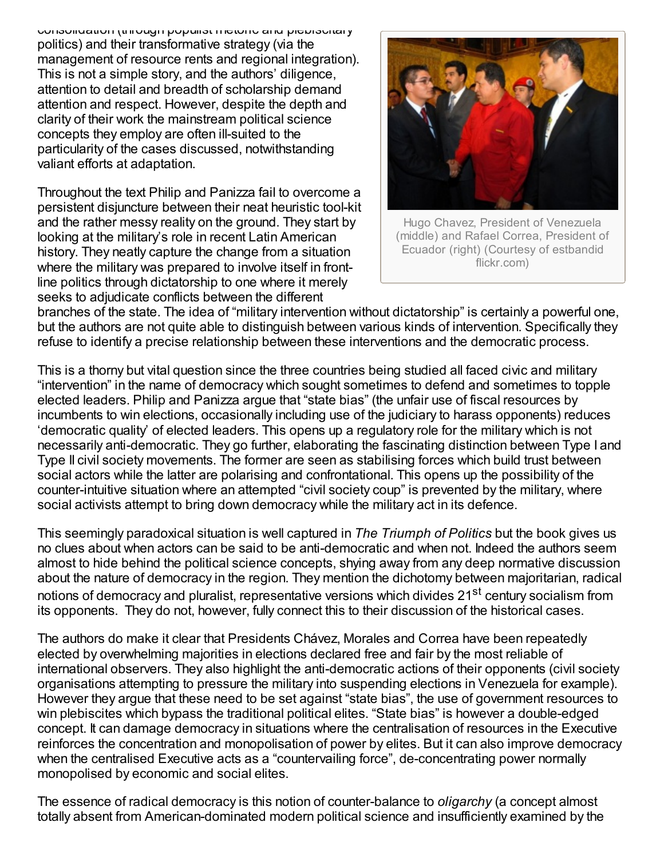consolidation (through populist rhetoric and plebiscitary politics) and their transformative strategy (via the management of resource rents and regional integration). This is not a simple story, and the authors' diligence, attention to detail and breadth of scholarship demand attention and respect. However, despite the depth and clarity of their work the mainstream political science concepts they employ are often ill-suited to the particularity of the cases discussed, notwithstanding valiant efforts at adaptation.

Throughout the text Philip and Panizza fail to overcome a persistent disjuncture between their neat heuristic tool-kit and the rather messy reality on the ground. They start by looking at the military's role in recent Latin American history. They neatly capture the change from a situation where the military was prepared to involve itself in frontline politics through dictatorship to one where it merely seeks to adjudicate conflicts between the different



Hugo Chavez, President of Venezuela (middle) and Rafael Correa, President of Ecuador (right) (Courtesy of estbandid flickr.com)

branches of the state. The idea of "military intervention without dictatorship" is certainly a powerful one, but the authors are not quite able to distinguish between various kinds of intervention. Specifically they refuse to identify a precise relationship between these interventions and the democratic process.

This is a thorny but vital question since the three countries being studied all faced civic and military "intervention" in the name of democracy which sought sometimes to defend and sometimes to topple elected leaders. Philip and Panizza argue that "state bias" (the unfair use of fiscal resources by incumbents to win elections, occasionally including use of the judiciary to harass opponents) reduces 'democratic quality' of elected leaders. This opens up a regulatory role for the military which is not necessarily anti-democratic. They go further, elaborating the fascinating distinction between Type I and Type II civil society movements. The former are seen as stabilising forces which build trust between social actors while the latter are polarising and confrontational. This opens up the possibility of the counter-intuitive situation where an attempted "civil society coup" is prevented by the military, where social activists attempt to bring down democracy while the military act in its defence.

This seemingly paradoxical situation is well captured in *The Triumph of Politics* but the book gives us no clues about when actors can be said to be anti-democratic and when not. Indeed the authors seem almost to hide behind the political science concepts, shying away from any deep normative discussion about the nature of democracy in the region. They mention the dichotomy between majoritarian, radical notions of democracy and pluralist, representative versions which divides 21<sup>st</sup> century socialism from its opponents. They do not, however, fully connect this to their discussion of the historical cases.

The authors do make it clear that Presidents Chávez, Morales and Correa have been repeatedly elected by overwhelming majorities in elections declared free and fair by the most reliable of international observers. They also highlight the anti-democratic actions of their opponents (civil society organisations attempting to pressure the military into suspending elections in Venezuela for example). However they argue that these need to be set against "state bias", the use of government resources to win plebiscites which bypass the traditional political elites. "State bias" is however a double-edged concept. It can damage democracy in situations where the centralisation of resources in the Executive reinforces the concentration and monopolisation of power by elites. But it can also improve democracy when the centralised Executive acts as a "countervailing force", de-concentrating power normally monopolised by economic and social elites.

The essence of radical democracy is this notion of counter-balance to *oligarchy* (a concept almost totally absent from American-dominated modern political science and insufficiently examined by the